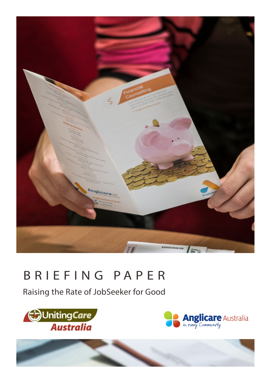

# BRIEFING PAPER

Raising the Rate of JobSeeker for Good





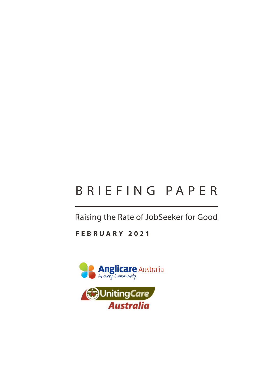# BRIEFING PAPER

Raising the Rate of JobSeeker for Good

**FEBRUARY 2021**

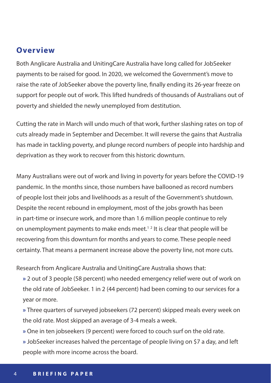## **Overview**

Both Anglicare Australia and UnitingCare Australia have long called for JobSeeker payments to be raised for good. In 2020, we welcomed the Government's move to raise the rate of JobSeeker above the poverty line, finally ending its 26-year freeze on support for people out of work. This lifted hundreds of thousands of Australians out of poverty and shielded the newly unemployed from destitution.

Cutting the rate in March will undo much of that work, further slashing rates on top of cuts already made in September and December. It will reverse the gains that Australia has made in tackling poverty, and plunge record numbers of people into hardship and deprivation as they work to recover from this historic downturn.

Many Australians were out of work and living in poverty for years before the COVID-19 pandemic. In the months since, those numbers have ballooned as record numbers of people lost their jobs and livelihoods as a result of the Government's shutdown. Despite the recent rebound in employment, most of the jobs growth has been in part-time or insecure work, and more than 1.6 million people continue to rely on unemployment payments to make ends meet.<sup>12</sup> It is clear that people will be recovering from this downturn for months and years to come. These people need certainty. That means a permanent increase above the poverty line, not more cuts.

Research from Anglicare Australia and UnitingCare Australia shows that:

**»** 2 out of 3 people (58 percent) who needed emergency relief were out of work on the old rate of JobSeeker. 1 in 2 (44 percent) had been coming to our services for a year or more.

**»** Three quarters of surveyed jobseekers (72 percent) skipped meals every week on the old rate. Most skipped an average of 3-4 meals a week.

- **»** One in ten jobseekers (9 percent) were forced to couch surf on the old rate.
- **»** JobSeeker increases halved the percentage of people living on \$7 a day, and left people with more income across the board.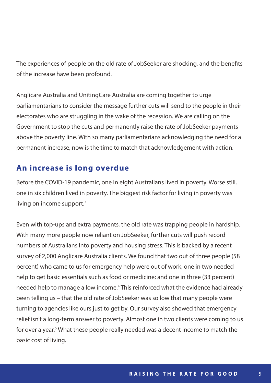The experiences of people on the old rate of JobSeeker are shocking, and the benefits of the increase have been profound.

Anglicare Australia and UnitingCare Australia are coming together to urge parliamentarians to consider the message further cuts will send to the people in their electorates who are struggling in the wake of the recession. We are calling on the Government to stop the cuts and permanently raise the rate of JobSeeker payments above the poverty line. With so many parliamentarians acknowledging the need for a permanent increase, now is the time to match that acknowledgement with action.

# **An increase is long overdue**

Before the COVID-19 pandemic, one in eight Australians lived in poverty. Worse still, one in six children lived in poverty. The biggest risk factor for living in poverty was living on income support.<sup>3</sup>

Even with top-ups and extra payments, the old rate was trapping people in hardship. With many more people now reliant on JobSeeker, further cuts will push record numbers of Australians into poverty and housing stress. This is backed by a recent survey of 2,000 Anglicare Australia clients. We found that two out of three people (58 percent) who came to us for emergency help were out of work; one in two needed help to get basic essentials such as food or medicine; and one in three (33 percent) needed help to manage a low income.<sup>4</sup> This reinforced what the evidence had already been telling us – that the old rate of JobSeeker was so low that many people were turning to agencies like ours just to get by. Our survey also showed that emergency relief isn't a long-term answer to poverty. Almost one in two clients were coming to us for over a year.<sup>5</sup> What these people really needed was a decent income to match the basic cost of living.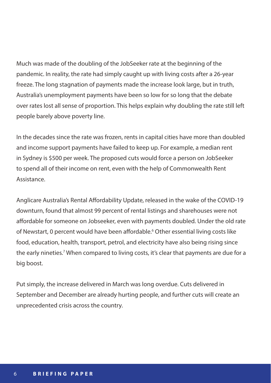Much was made of the doubling of the JobSeeker rate at the beginning of the pandemic. In reality, the rate had simply caught up with living costs after a 26-year freeze. The long stagnation of payments made the increase look large, but in truth, Australia's unemployment payments have been so low for so long that the debate over rates lost all sense of proportion. This helps explain why doubling the rate still left people barely above poverty line.

In the decades since the rate was frozen, rents in capital cities have more than doubled and income support payments have failed to keep up. For example, a median rent in Sydney is \$500 per week. The proposed cuts would force a person on JobSeeker to spend all of their income on rent, even with the help of Commonwealth Rent Assistance.

Anglicare Australia's Rental Affordability Update, released in the wake of the COVID-19 downturn, found that almost 99 percent of rental listings and sharehouses were not affordable for someone on Jobseeker, even with payments doubled. Under the old rate of Newstart, 0 percent would have been affordable.<sup>6</sup> Other essential living costs like food, education, health, transport, petrol, and electricity have also being rising since the early nineties.<sup>7</sup> When compared to living costs, it's clear that payments are due for a big boost.

Put simply, the increase delivered in March was long overdue. Cuts delivered in September and December are already hurting people, and further cuts will create an unprecedented crisis across the country.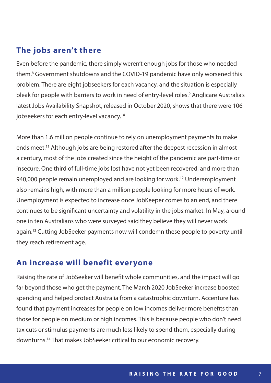## **The jobs aren't there**

Even before the pandemic, there simply weren't enough jobs for those who needed them.<sup>8</sup> Government shutdowns and the COVID-19 pandemic have only worsened this problem. There are eight jobseekers for each vacancy, and the situation is especially bleak for people with barriers to work in need of entry-level roles.<sup>9</sup> Anglicare Australia's latest Jobs Availability Snapshot, released in October 2020, shows that there were 106 jobseekers for each entry-level vacancy.10

More than 1.6 million people continue to rely on unemployment payments to make ends meet.<sup>11</sup> Although jobs are being restored after the deepest recession in almost a century, most of the jobs created since the height of the pandemic are part-time or insecure. One third of full-time jobs lost have not yet been recovered, and more than 940,000 people remain unemployed and are looking for work.12 Underemployment also remains high, with more than a million people looking for more hours of work. Unemployment is expected to increase once JobKeeper comes to an end, and there continues to be significant uncertainty and volatility in the jobs market. In May, around one in ten Australians who were surveyed said they believe they will never work again.13 Cutting JobSeeker payments now will condemn these people to poverty until they reach retirement age.

## **An increase will benefit everyone**

Raising the rate of JobSeeker will benefit whole communities, and the impact will go far beyond those who get the payment. The March 2020 JobSeeker increase boosted spending and helped protect Australia from a catastrophic downturn. Accenture has found that payment increases for people on low incomes deliver more benefits than those for people on medium or high incomes. This is because people who don't need tax cuts or stimulus payments are much less likely to spend them, especially during downturns.14 That makes JobSeeker critical to our economic recovery.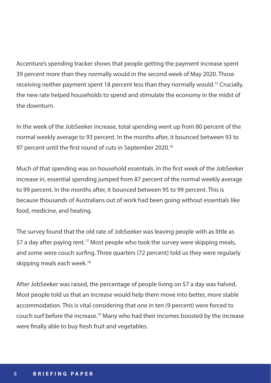Accenture's spending tracker shows that people getting the payment increase spent 39 percent more than they normally would in the second week of May 2020. Those receiving neither payment spent 18 percent less than they normally would.<sup>15</sup> Crucially, the new rate helped households to spend and stimulate the economy in the midst of the downturn.

In the week of the JobSeeker increase, total spending went up from 80 percent of the normal weekly average to 93 percent. In the months after, it bounced between 93 to 97 percent until the first round of cuts in September 2020.<sup>16</sup>

Much of that spending was on household essentials. In the first week of the JobSeeker increase in, essential spending jumped from 87 percent of the normal weekly average to 99 percent. In the months after, it bounced between 95 to 99 percent. This is because thousands of Australians out of work had been going without essentials like food, medicine, and heating.

The survey found that the old rate of JobSeeker was leaving people with as little as \$7 a day after paying rent.<sup>17</sup> Most people who took the survey were skipping meals, and some were couch surfing. Three quarters (72 percent) told us they were regularly skipping meals each week.<sup>18</sup>

After JobSeeker was raised, the percentage of people living on \$7 a day was halved. Most people told us that an increase would help them move into better, more stable accommodation. This is vital considering that one in ten (9 percent) were forced to couch surf before the increase.19 Many who had their incomes boosted by the increase were finally able to buy fresh fruit and vegetables.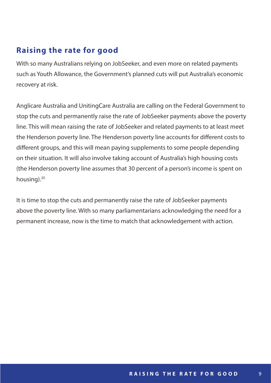# **Raising the rate for good**

With so many Australians relying on JobSeeker, and even more on related payments such as Youth Allowance, the Government's planned cuts will put Australia's economic recovery at risk.

Anglicare Australia and UnitingCare Australia are calling on the Federal Government to stop the cuts and permanently raise the rate of JobSeeker payments above the poverty line. This will mean raising the rate of JobSeeker and related payments to at least meet the Henderson poverty line. The Henderson poverty line accounts for different costs to different groups, and this will mean paying supplements to some people depending on their situation. It will also involve taking account of Australia's high housing costs (the Henderson poverty line assumes that 30 percent of a person's income is spent on housing).<sup>20</sup>

It is time to stop the cuts and permanently raise the rate of JobSeeker payments above the poverty line. With so many parliamentarians acknowledging the need for a permanent increase, now is the time to match that acknowledgement with action.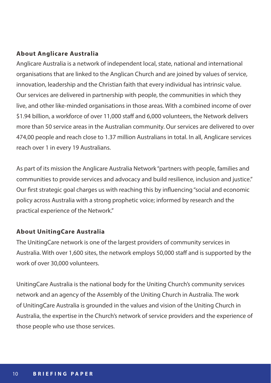### **About Anglicare Australia**

Anglicare Australia is a network of independent local, state, national and international organisations that are linked to the Anglican Church and are joined by values of service, innovation, leadership and the Christian faith that every individual has intrinsic value. Our services are delivered in partnership with people, the communities in which they live, and other like-minded organisations in those areas. With a combined income of over \$1.94 billion, a workforce of over 11,000 staff and 6,000 volunteers, the Network delivers more than 50 service areas in the Australian community. Our services are delivered to over 474,00 people and reach close to 1.37 million Australians in total. In all, Anglicare services reach over 1 in every 19 Australians.

As part of its mission the Anglicare Australia Network "partners with people, families and communities to provide services and advocacy and build resilience, inclusion and justice." Our first strategic goal charges us with reaching this by influencing "social and economic policy across Australia with a strong prophetic voice; informed by research and the practical experience of the Network."

#### **About UnitingCare Australia**

The UnitingCare network is one of the largest providers of community services in Australia. With over 1,600 sites, the network employs 50,000 staff and is supported by the work of over 30,000 volunteers.

UnitingCare Australia is the national body for the Uniting Church's community services network and an agency of the Assembly of the Uniting Church in Australia. The work of UnitingCare Australia is grounded in the values and vision of the Uniting Church in Australia, the expertise in the Church's network of service providers and the experience of those people who use those services.